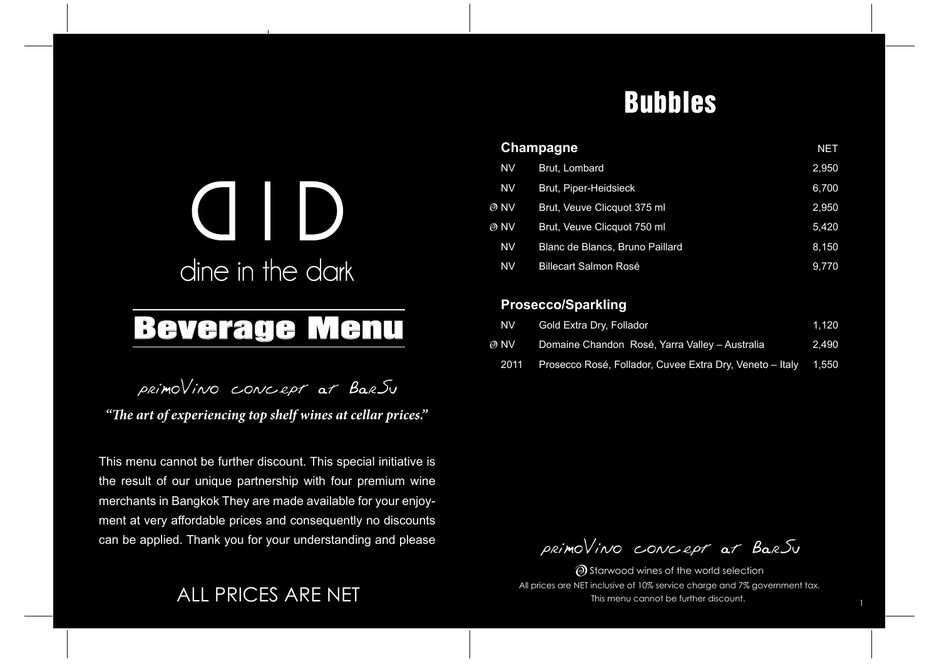This menu cannot be further discount. This special initiative is the result of our unique partnership with four premium wine merchants in Bangkok They are made available for your enjoyment at very affordable prices and consequently no discounts can be applied. Thank you for your understanding and please

Beverage Menu

CID

dine in the dark

"The art of experiencing top shelf wines at cellar prices."

primoVino concept at BarSu

 $\textcircled{\tiny{\textcircled{\tiny{1}}}}$  Starwood wines of the world selection ALL PRICES ARE NET **INCRY ALL PRICES** ARE NET **INCRY ALL PRICES** ARE NET **INCRY** 

| <u>NE I</u> |
|-------------|
| 2,950       |
| 6,700       |
| 2,950       |
| 5,420       |
| 8,150       |
| 9,770       |

primoVino concept at BarSu

## Bubbles

#### **Champagne**

| <b>NV</b> | Brut, Lombard                   | 2,950 |
|-----------|---------------------------------|-------|
| <b>NV</b> | <b>Brut, Piper-Heidsieck</b>    | 6,700 |
| D NV      | Brut, Veuve Clicquot 375 ml     | 2,950 |
| D NV      | Brut, Veuve Clicquot 750 ml     | 5,420 |
| <b>NV</b> | Blanc de Blancs, Bruno Paillard | 8,150 |
| <b>NV</b> | <b>Billecart Salmon Rosé</b>    | 9,770 |

### **Prosecco/Sparkling**

| NV I       | Gold Extra Dry, Follador                                 | 1.120 |
|------------|----------------------------------------------------------|-------|
| $\odot$ NV | Domaine Chandon Rosé, Yarra Valley – Australia           | 2,490 |
| 2011       | Prosecco Rosé, Follador, Cuvee Extra Dry, Veneto - Italy | 1,550 |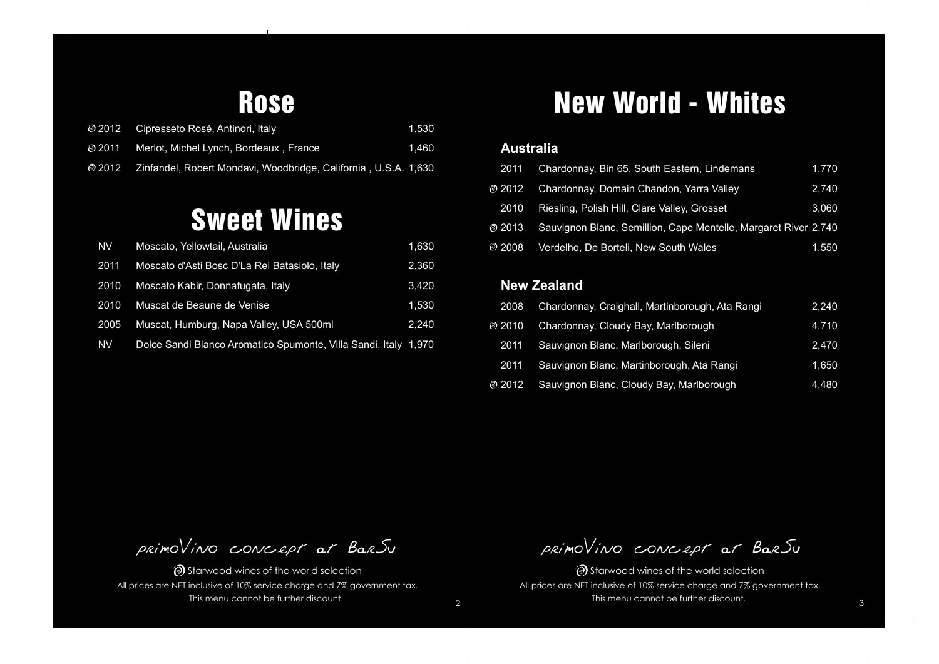$\odot$  Starwood wines of the world selection All prices are NET inclusive of 10% service charge and 7% government tax. This menu cannot be further discount.

2 3 This menu cannot be further discount. **W** Starwood wines of the world selection All prices are NET inclusive of 10% service charge and 7% government tax.

primoVino concept at BarSu primoVino concept at BarSu

## New World - Whites

### **Australia**

| 2011 Chardonnay, Bin 65, South Eastern, Lindemans                                             | 1,770 |
|-----------------------------------------------------------------------------------------------|-------|
| <b>D</b> 2012 Chardonnay, Domain Chandon, Yarra Valley                                        | 2,740 |
| Riesling, Polish Hill, Clare Valley, Grosset<br>2010                                          | 3,060 |
| Sauvignon Blanc, Semillion, Cape Mentelle, Margaret River 2,740<br>$\mathfrak{D}$ 2013 $\Box$ |       |
| ම 2008<br>Verdelho, De Borteli, New South Wales                                               | 1,550 |

### **New Zealand**

| 2008         | Chardonnay, Craighall, Martinborough, Ata Rangi | 2,240 |
|--------------|-------------------------------------------------|-------|
| $\odot$ 2010 | Chardonnay, Cloudy Bay, Marlborough             | 4,710 |
| 2011         | Sauvignon Blanc, Marlborough, Sileni            | 2,470 |
| 2011         | Sauvignon Blanc, Martinborough, Ata Rangi       | 1,650 |
| $\odot$ 2012 | Sauvignon Blanc, Cloudy Bay, Marlborough        | 4,480 |

## Rose

| 2012 Cipresseto Rosé, Antinori, Italy       | 1.530 |
|---------------------------------------------|-------|
| 2011 Merlot, Michel Lynch, Bordeaux, France | 1.460 |
|                                             |       |

## Sweet Wines

| Moscato, Yellowtail, Australia                                  | 1,630 |
|-----------------------------------------------------------------|-------|
| Moscato d'Asti Bosc D'La Rei Batasiolo, Italy                   | 2,360 |
| Moscato Kabir, Donnafugata, Italy                               | 3,420 |
| Muscat de Beaune de Venise                                      | 1,530 |
| Muscat, Humburg, Napa Valley, USA 500ml                         | 2,240 |
| Dolce Sandi Bianco Aromatico Spumonte, Villa Sandi, Italy 1,970 |       |
|                                                                 |       |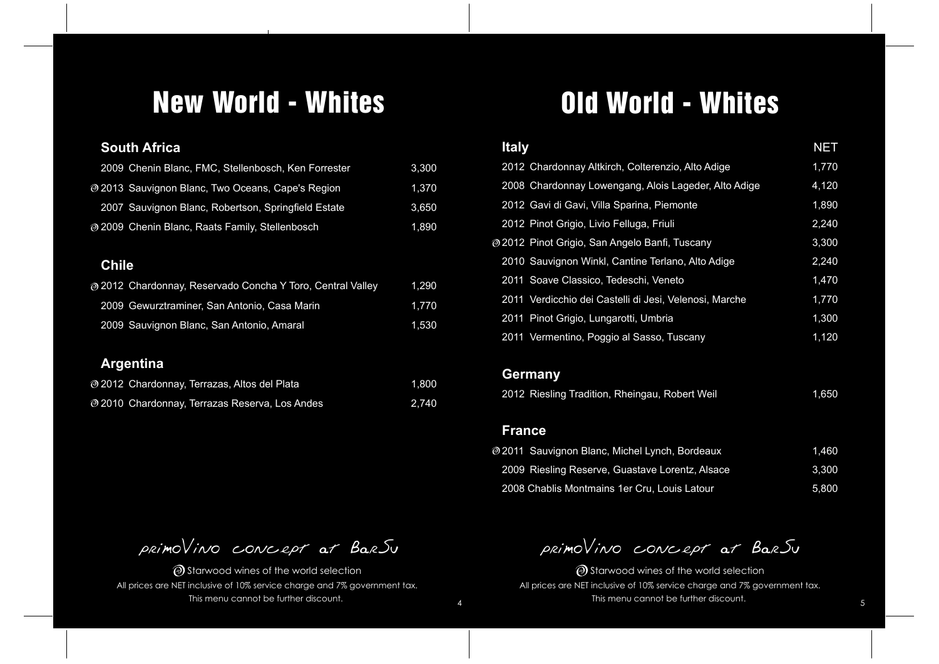$\odot$  Starwood wines of the world selection All prices are NET inclusive of 10% service charge and 7% government tax. This menu cannot be further discount.

4 5 This menu cannot be further discount. **We** Starwood wines of the world selection All prices are NET inclusive of 10% service charge and 7% government tax.

primoVino concept at BarSu primoVino concept at BarSu

## New World - Whites

### **South Africa**

| @ 2012 Chardonnay, Reservado Concha Y Toro, Central Valley | 1,290 |
|------------------------------------------------------------|-------|
| 2009 Gewurztraminer, San Antonio, Casa Marin               | 1,770 |
| 2009 Sauvignon Blanc, San Antonio, Amaral                  | 1,530 |

| 2009 Chenin Blanc, FMC, Stellenbosch, Ken Forrester | 3,300 |
|-----------------------------------------------------|-------|
| @ 2013 Sauvignon Blanc, Two Oceans, Cape's Region   | 1,370 |
| 2007 Sauvignon Blanc, Robertson, Springfield Estate | 3,650 |
| @ 2009 Chenin Blanc, Raats Family, Stellenbosch     | 1,890 |

### **Chile**

### **Argentina**

| @ 2012 Chardonnay, Terrazas, Altos del Plata   | 1,800 |
|------------------------------------------------|-------|
| @ 2010 Chardonnay, Terrazas Reserva, Los Andes | 2,740 |

## Old World - Whites

| <b>Italy</b>  |                                                        | <b>NET</b> |
|---------------|--------------------------------------------------------|------------|
|               | 2012 Chardonnay Altkirch, Colterenzio, Alto Adige      | 1,770      |
|               | 2008 Chardonnay Lowengang, Alois Lageder, Alto Adige   | 4,120      |
|               | 2012 Gavi di Gavi, Villa Sparina, Piemonte             | 1,890      |
|               | 2012 Pinot Grigio, Livio Felluga, Friuli               | 2,240      |
|               | @ 2012 Pinot Grigio, San Angelo Banfi, Tuscany         | 3,300      |
|               | 2010 Sauvignon Winkl, Cantine Terlano, Alto Adige      | 2,240      |
|               | 2011 Soave Classico, Tedeschi, Veneto                  | 1,470      |
|               | 2011 Verdicchio dei Castelli di Jesi, Velenosi, Marche | 1,770      |
|               | 2011 Pinot Grigio, Lungarotti, Umbria                  | 1,300      |
|               | 2011 Vermentino, Poggio al Sasso, Tuscany              | 1,120      |
|               |                                                        |            |
|               | <b>Germany</b>                                         |            |
|               | 2012 Riesling Tradition, Rheingau, Robert Weil         | 1,650      |
|               |                                                        |            |
| <b>France</b> |                                                        |            |
|               | @2011 Sauvignon Blanc, Michel Lynch, Bordeaux          | 1,460      |
|               | 2009 Riesling Reserve, Guastave Lorentz, Alsace        | 3,300      |

2008 Chablis Montmains 1er Cru, Louis Latour 5,800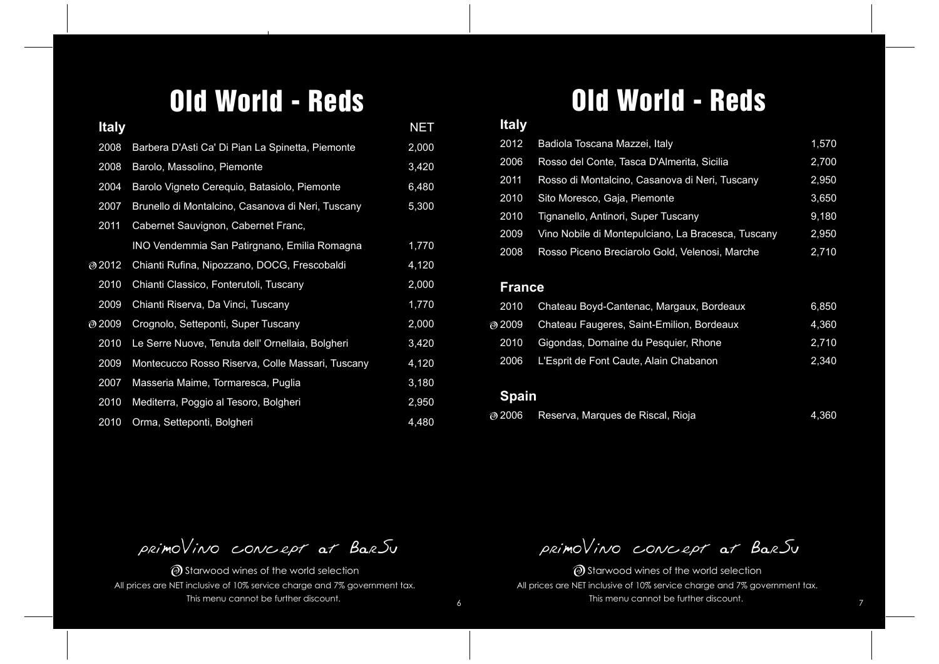$\odot$  Starwood wines of the world selection All prices are NET inclusive of 10% service charge and 7% government tax. This menu cannot be further discount.

6 7 This menu cannot be further discount. **Starwood wines of the world selection** All prices are NET inclusive of 10% service charge and 7% government tax.

primoVino concept at BarSu primoVino concept at BarSu

## Old World - Reds

| <b>Italy</b> |                                                   | <b>NET</b> |
|--------------|---------------------------------------------------|------------|
| 2008         | Barbera D'Asti Ca' Di Pian La Spinetta, Piemonte  | 2,000      |
| 2008         | Barolo, Massolino, Piemonte                       | 3,420      |
| 2004         | Barolo Vigneto Cerequio, Batasiolo, Piemonte      | 6,480      |
| 2007         | Brunello di Montalcino, Casanova di Neri, Tuscany | 5,300      |
| 2011         | Cabernet Sauvignon, Cabernet Franc,               |            |
|              | INO Vendemmia San Patirgnano, Emilia Romagna      | 1,770      |
| ම 2012       | Chianti Rufina, Nipozzano, DOCG, Frescobaldi      | 4,120      |
| 2010         | Chianti Classico, Fonterutoli, Tuscany            | 2,000      |
| 2009         | Chianti Riserva, Da Vinci, Tuscany                | 1,770      |
| ම 2009       | Crognolo, Setteponti, Super Tuscany               | 2,000      |
| 2010         | Le Serre Nuove, Tenuta dell' Ornellaia, Bolgheri  | 3,420      |
| 2009         | Montecucco Rosso Riserva, Colle Massari, Tuscany  | 4,120      |
| 2007         | Masseria Maime, Tormaresca, Puglia                | 3,180      |
| 2010         | Mediterra, Poggio al Tesoro, Bolgheri             | 2,950      |
| 2010         | Orma, Setteponti, Bolgheri                        | 4,480      |

## Old World - Reds

| <u>litaly</u> |                                                    |       |
|---------------|----------------------------------------------------|-------|
| 2012          | Badiola Toscana Mazzei, Italy                      | 1,570 |
| 2006          | Rosso del Conte, Tasca D'Almerita, Sicilia         | 2,700 |
| 2011          | Rosso di Montalcino, Casanova di Neri, Tuscany     | 2,950 |
| 2010          | Sito Moresco, Gaja, Piemonte                       | 3,650 |
| 2010          | Tignanello, Antinori, Super Tuscany                | 9,180 |
| 2009          | Vino Nobile di Montepulciano, La Bracesca, Tuscany | 2,950 |
| 2008          | Rosso Piceno Breciarolo Gold, Velenosi, Marche     | 2,710 |

#### **France**

| 2010   | Chateau Boyd-Cantenac, Margaux, Bordeaux  | 6,850 |
|--------|-------------------------------------------|-------|
| @ 2009 | Chateau Faugeres, Saint-Emilion, Bordeaux | 4,360 |
| 2010   | Gigondas, Domaine du Pesquier, Rhone      | 2,710 |
| 2006   | L'Esprit de Font Caute, Alain Chabanon    | 2,340 |

### **Spain**

@ 2006 Reserva, Marques de Riscal, Rioja **1998 1998 1999 1999 1999** 4,360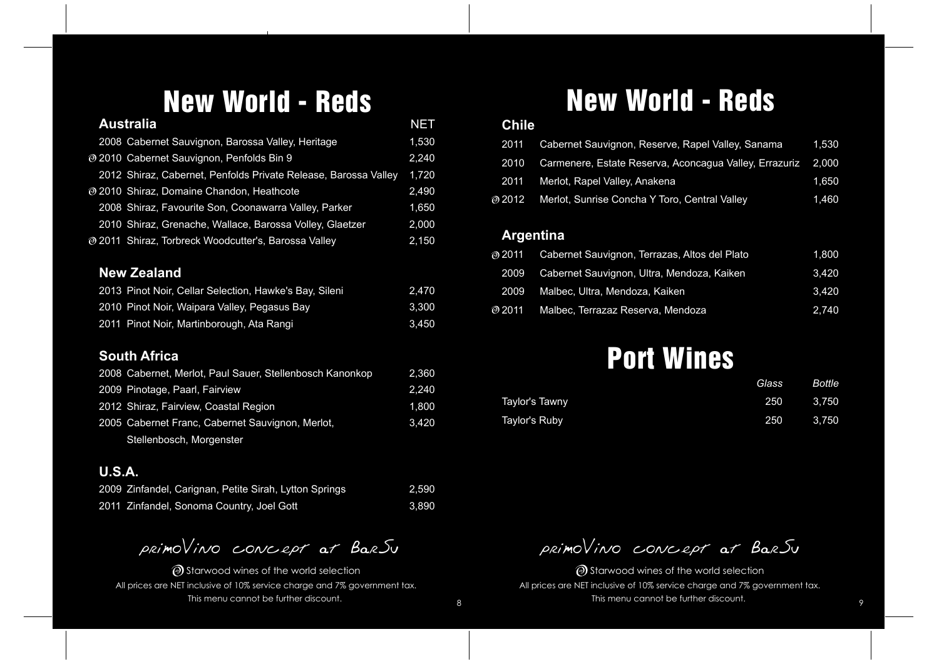$\odot$  Starwood wines of the world selection All prices are NET inclusive of 10% service charge and 7% government tax. This menu cannot be further discount.

8 9 This menu cannot be further discount.  $\circledR$  Starwood wines of the world selection All prices are NET inclusive of 10% service charge and 7% government tax.

| Valley, Sanama             | 1,530 |
|----------------------------|-------|
| ua Valley, Errazuriz 2,000 |       |
|                            | 1,650 |
| al Valley                  | 1,460 |

primoVino concept at BarSu primoVino concept at BarSu

## New World - Reds

| <b>Australia</b>                                                | <b>NET</b> |
|-----------------------------------------------------------------|------------|
| 2008 Cabernet Sauvignon, Barossa Valley, Heritage               | 1,530      |
| @ 2010 Cabernet Sauvignon, Penfolds Bin 9                       | 2,240      |
| 2012 Shiraz, Cabernet, Penfolds Private Release, Barossa Valley | 1,720      |
| @ 2010 Shiraz, Domaine Chandon, Heathcote                       | 2,490      |
| 2008 Shiraz, Favourite Son, Coonawarra Valley, Parker           | 1,650      |
| 2010 Shiraz, Grenache, Wallace, Barossa Volley, Glaetzer        | 2,000      |
| @ 2011 Shiraz, Torbreck Woodcutter's, Barossa Valley            | 2,150      |
|                                                                 |            |

### **Chile** 2011 Cabernet Sauvignon, Reserve, Rapel 2010 Carmenere, Estate Reserva, Aconcagua 2011 Merlot, Rapel Valley, Anakena @ 2012 Merlot, Sunrise Concha Y Toro, Central

#### **New Zealand**

| 2013 Pinot Noir, Cellar Selection, Hawke's Bay, Sileni | 2,470 |
|--------------------------------------------------------|-------|
| 2010 Pinot Noir, Waipara Valley, Pegasus Bay           | 3,300 |
| 2011 Pinot Noir, Martinborough, Ata Rangi              | 3,450 |

### **South Africa**

| 2008 Cabernet, Merlot, Paul Sauer, Stellenbosch Kanonkop | 2,360 |
|----------------------------------------------------------|-------|
| 2009 Pinotage, Paarl, Fairview                           | 2,240 |
| 2012 Shiraz, Fairview, Coastal Region                    | 1,800 |
| 2005 Cabernet Franc, Cabernet Sauvignon, Merlot,         | 3,420 |
| Stellenbosch, Morgenster                                 |       |

#### **U.S.A.**

| 2009 Zinfandel, Carignan, Petite Sirah, Lytton Springs | 2,590 |
|--------------------------------------------------------|-------|
| 2011 Zinfandel, Sonoma Country, Joel Gott              | 3,890 |

## New World - Reds

### **Argentina**

| @ 2011       | Cabernet Sauvignon, Terrazas, Altos del Plato | 1,800 |
|--------------|-----------------------------------------------|-------|
| 2009         | Cabernet Sauvignon, Ultra, Mendoza, Kaiken    | 3,420 |
| 2009         | Malbec, Ultra, Mendoza, Kaiken                | 3,420 |
| $\odot$ 2011 | Malbec, Terrazaz Reserva, Mendoza             | 2,740 |

## Port Wines

Taylor's Tawny Taylor's Ruby

|                | Glass | <b>Bottle</b> |
|----------------|-------|---------------|
| Taylor's Tawny | 250   | 3,750         |
| Taylor's Ruby  | 250   | 3,750         |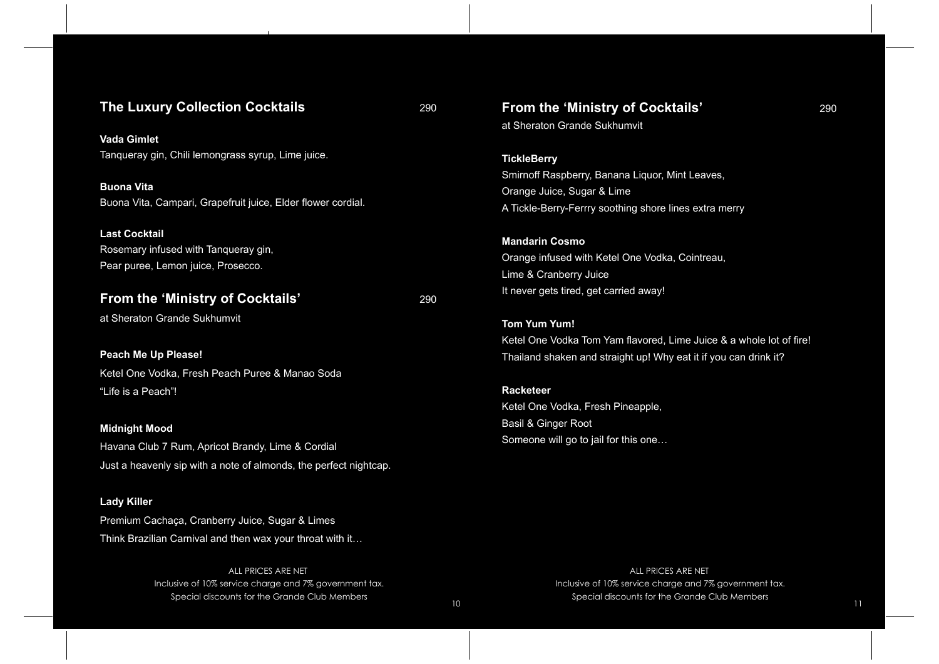$10$  and  $11$ ALL PRICES ARE NET Inclusive of 10% service charge and 7% government tax. Special discounts for the Grande Club Members

Premium Cachaça, Cranberry Juice, Sugar & Limes Think Brazilian Carnival and then wax your throat with it…

> ALL PRICES ARE NET Inclusive of 10% service charge and 7% government tax. Special discounts for the Grande Club Members

| <b>The Luxury Collection Cocktails</b>                            | 290 | From the 'Ministry of Cocktails'<br>at Sheraton Grande Sukhumvit    | 290 |
|-------------------------------------------------------------------|-----|---------------------------------------------------------------------|-----|
| <b>Vada Gimlet</b>                                                |     |                                                                     |     |
| Tanqueray gin, Chili lemongrass syrup, Lime juice.                |     | <b>TickleBerry</b>                                                  |     |
|                                                                   |     | Smirnoff Raspberry, Banana Liquor, Mint Leaves,                     |     |
| <b>Buona Vita</b>                                                 |     | Orange Juice, Sugar & Lime                                          |     |
| Buona Vita, Campari, Grapefruit juice, Elder flower cordial.      |     | A Tickle-Berry-Ferrry soothing shore lines extra merry              |     |
| <b>Last Cocktail</b>                                              |     | <b>Mandarin Cosmo</b>                                               |     |
| Rosemary infused with Tanqueray gin,                              |     | Orange infused with Ketel One Vodka, Cointreau,                     |     |
| Pear puree, Lemon juice, Prosecco.                                |     | Lime & Cranberry Juice                                              |     |
| From the 'Ministry of Cocktails'                                  | 290 | It never gets tired, get carried away!                              |     |
| at Sheraton Grande Sukhumvit                                      |     | <b>Tom Yum Yum!</b>                                                 |     |
|                                                                   |     | Ketel One Vodka Tom Yam flavored, Lime Juice & a whole lot of fire! |     |
| <b>Peach Me Up Please!</b>                                        |     | Thailand shaken and straight up! Why eat it if you can drink it?    |     |
| Ketel One Vodka, Fresh Peach Puree & Manao Soda                   |     |                                                                     |     |
| "Life is a Peach"!                                                |     | <b>Racketeer</b>                                                    |     |
|                                                                   |     | Ketel One Vodka, Fresh Pineapple,                                   |     |
| <b>Midnight Mood</b>                                              |     | <b>Basil &amp; Ginger Root</b>                                      |     |
| Havana Club 7 Rum, Apricot Brandy, Lime & Cordial                 |     | Someone will go to jail for this one                                |     |
| Just a heavenly sip with a note of almonds, the perfect nightcap. |     |                                                                     |     |
| <b>Lady Killer</b>                                                |     |                                                                     |     |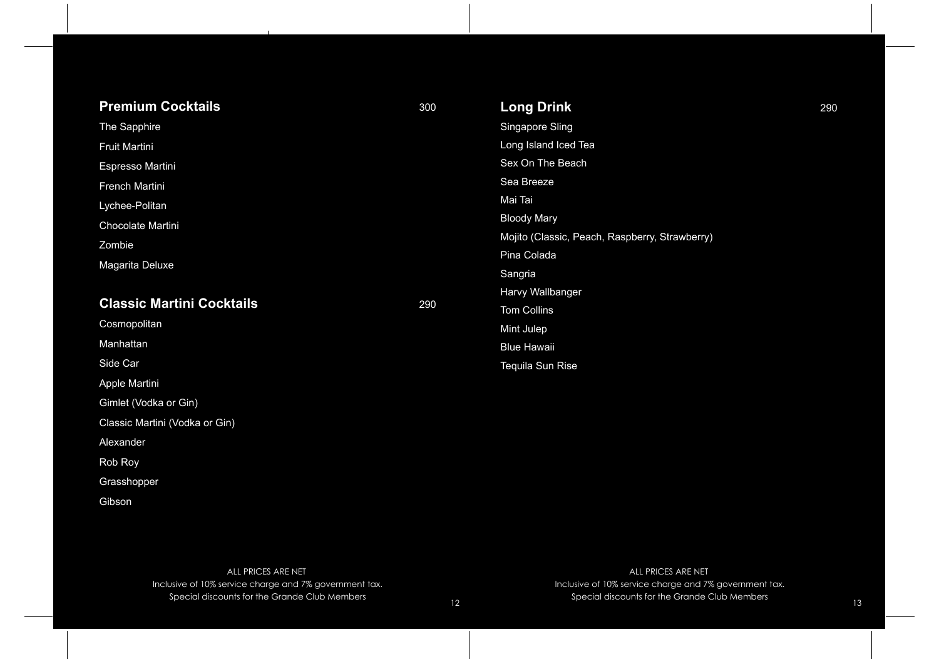| <b>Premium Cocktails</b>         | 300 | <b>Long Drink</b>                              | 290 |
|----------------------------------|-----|------------------------------------------------|-----|
| The Sapphire                     |     | <b>Singapore Sling</b>                         |     |
| <b>Fruit Martini</b>             |     | Long Island Iced Tea                           |     |
| <b>Espresso Martini</b>          |     | Sex On The Beach                               |     |
| <b>French Martini</b>            |     | Sea Breeze                                     |     |
| Lychee-Politan                   |     | Mai Tai                                        |     |
| Chocolate Martini                |     | <b>Bloody Mary</b>                             |     |
| Zombie                           |     | Mojito (Classic, Peach, Raspberry, Strawberry) |     |
| <b>Magarita Deluxe</b>           |     | Pina Colada                                    |     |
|                                  |     | Sangria                                        |     |
| <b>Classic Martini Cocktails</b> | 290 | Harvy Wallbanger                               |     |
|                                  |     | <b>Tom Collins</b>                             |     |
| Cosmopolitan                     |     | Mint Julep                                     |     |
| Manhattan                        |     | <b>Blue Hawaii</b>                             |     |
| Side Car                         |     | <b>Tequila Sun Rise</b>                        |     |
| Apple Martini                    |     |                                                |     |
| Gimlet (Vodka or Gin)            |     |                                                |     |
| Classic Martini (Vodka or Gin)   |     |                                                |     |
| Alexander                        |     |                                                |     |
| Rob Roy                          |     |                                                |     |
| Grasshopper                      |     |                                                |     |
| Gibson                           |     |                                                |     |



ALL PRICES ARE NET Inclusive of 10% service charge and 7% government tax. Special discounts for the Grande Club Members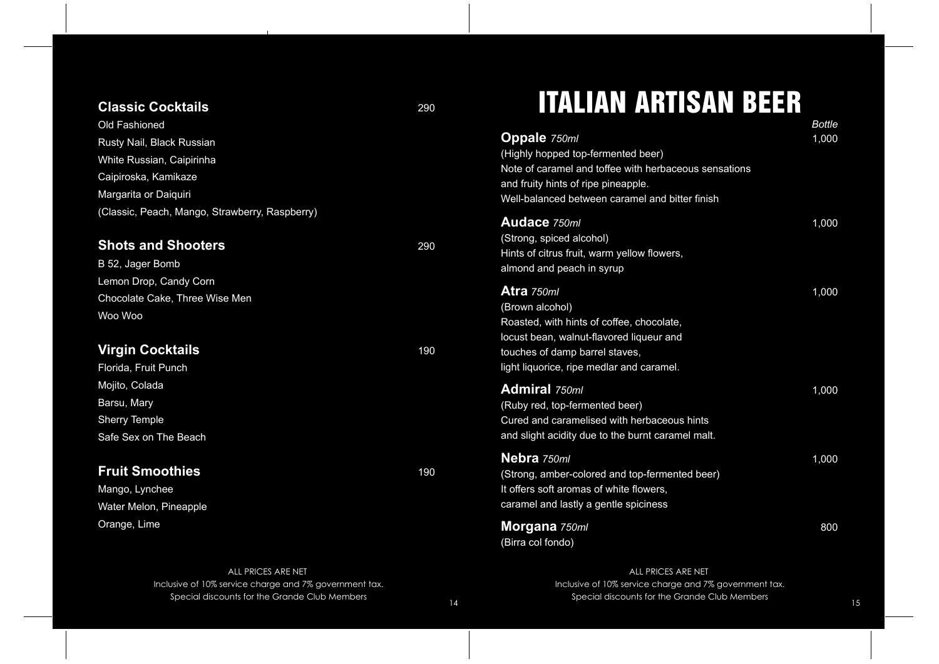#### **Classic Cocktails** 290

| <b>Old Fashioned</b>                           |
|------------------------------------------------|
| <b>Rusty Nail, Black Russian</b>               |
| White Russian, Caipirinha                      |
| Caipiroska, Kamikaze                           |
| Margarita or Daiguiri                          |
| (Classic, Peach, Mango, Strawberry, Raspberry) |

#### **Shots and Shooters** 290

B 52, Jager Bomb Lemon Drop, Candy Corn Chocolate Cake, Three Wise Men Woo Woo

### **Virgin Cocktails** 190

**Audace** *750ml* 1,000 **Atra** *750ml* 1,000 **Admiral**  $750$ *ml* 1,000 **Nebra** *750ml* 1,000 **Morgana** *750ml* 800

Florida, Fruit Punch Mojito, Colada Barsu, Mary Sherry Temple Safe Sex on The Beach

### **Fruit Smoothies** 190

Mango, Lynchee Water Melon, Pineapple Orange, Lime

### ITALIAN ARTISAN BEER *Bottle* **Oppale** *750ml* 1,000

(Highly hopped top-fermented beer) Note of caramel and toffee with herbaceous sensations and fruity hints of ripe pineapple. Well-balanced between caramel and bitter finish

(Strong, spiced alcohol) Hints of citrus fruit, warm yellow flowers, almond and peach in syrup

14 and the collection of the collection of the collection of the collection of the collection of the collection of the collection of the collection of the collection of the collection of the collection of the collection of ALL PRICES ARE NET Inclusive of 10% service charge and 7% government tax. Special discounts for the Grande Club Members

(Brown alcohol) Roasted, with hints of coffee, chocolate, locust bean, walnut-flavored liqueur and touches of damp barrel staves, light liquorice, ripe medlar and caramel.

(Ruby red, top-fermented beer) Cured and caramelised with herbaceous hints and slight acidity due to the burnt caramel malt.

(Strong, amber-colored and top-fermented beer) It offers soft aromas of white flowers, caramel and lastly a gentle spiciness

(Birra col fondo)

ALL PRICES ARE NET Inclusive of 10% service charge and 7% government tax. Special discounts for the Grande Club Members